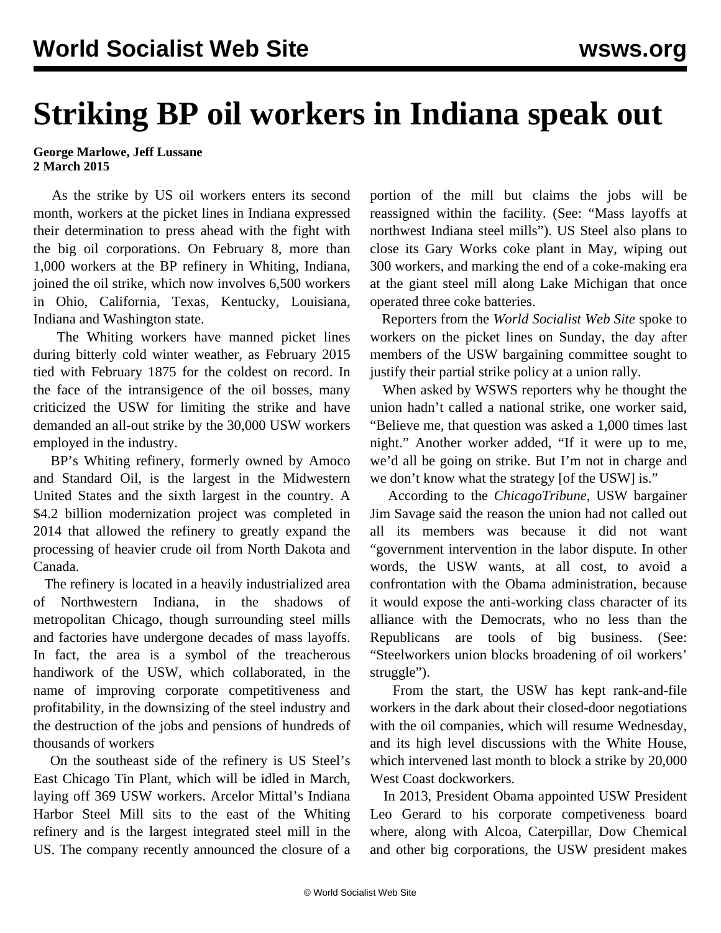## **Striking BP oil workers in Indiana speak out**

## **George Marlowe, Jeff Lussane 2 March 2015**

 As the strike by US oil workers enters its second month, workers at the picket lines in Indiana expressed their determination to press ahead with the fight with the big oil corporations. On February 8, more than 1,000 workers at the BP refinery in Whiting, Indiana, joined the oil strike, which now involves 6,500 workers in Ohio, California, Texas, Kentucky, Louisiana, Indiana and Washington state.

 The Whiting workers have manned picket lines during bitterly cold winter weather, as February 2015 tied with February 1875 for the coldest on record. In the face of the intransigence of the oil bosses, many criticized the USW for limiting the strike and have demanded an all-out strike by the 30,000 USW workers employed in the industry.

 BP's Whiting refinery, formerly owned by Amoco and Standard Oil, is the largest in the Midwestern United States and the sixth largest in the country. A \$4.2 billion modernization project was completed in 2014 that allowed the refinery to greatly expand the processing of heavier crude oil from North Dakota and Canada.

 The refinery is located in a heavily industrialized area of Northwestern Indiana, in the shadows of metropolitan Chicago, though surrounding steel mills and factories have undergone decades of mass layoffs. In fact, the area is a symbol of the treacherous handiwork of the USW, which collaborated, in the name of improving corporate competitiveness and profitability, in the downsizing of the steel industry and the destruction of the jobs and pensions of hundreds of thousands of workers

 On the southeast side of the refinery is US Steel's East Chicago Tin Plant, which will be idled in March, laying off 369 USW workers. Arcelor Mittal's Indiana Harbor Steel Mill sits to the east of the Whiting refinery and is the largest integrated steel mill in the US. The company recently announced the closure of a portion of the mill but claims the jobs will be reassigned within the facility. (See: ["Mass layoffs at](/en/articles/2015/01/28/steel-j28.html) [northwest Indiana steel mills"](/en/articles/2015/01/28/steel-j28.html)). US Steel also plans to close its Gary Works coke plant in May, wiping out 300 workers, and marking the end of a coke-making era at the giant steel mill along Lake Michigan that once operated three coke batteries.

 Reporters from the *World Socialist Web Site* spoke to workers on the picket lines on Sunday, the day after members of the USW bargaining committee sought to justify their partial strike policy at a union rally.

 When asked by WSWS reporters why he thought the union hadn't called a national strike, one worker said, "Believe me, that question was asked a 1,000 times last night." Another worker added, "If it were up to me, we'd all be going on strike. But I'm not in charge and we don't know what the strategy [of the USW] is."

 According to the *ChicagoTribune*, USW bargainer Jim Savage said the reason the union had not called out all its members was because it did not want "government intervention in the labor dispute. In other words, the USW wants, at all cost, to avoid a confrontation with the Obama administration, because it would expose the anti-working class character of its alliance with the Democrats, who no less than the Republicans are tools of big business. (See: "[Steelworkers union blocks broadening of oil workers'](/en/articles/2015/03/02/stri-m02.html) [struggle](/en/articles/2015/03/02/stri-m02.html)").

 From the start, the USW has kept rank-and-file workers in the dark about their closed-door negotiations with the oil companies, which will resume Wednesday, and its high level discussions with the White House, which intervened last month to block a strike by 20,000 West Coast dockworkers.

 In 2013, President Obama appointed USW President Leo Gerard to his corporate competiveness board where, along with Alcoa, Caterpillar, Dow Chemical and other big corporations, the USW president makes